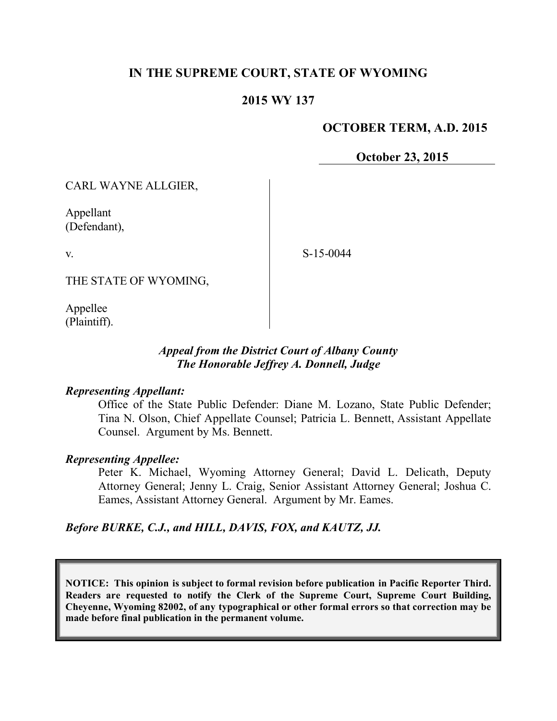# **IN THE SUPREME COURT, STATE OF WYOMING**

## **2015 WY 137**

## **OCTOBER TERM, A.D. 2015**

**October 23, 2015**

CARL WAYNE ALLGIER,

Appellant (Defendant),

v.

S-15-0044

THE STATE OF WYOMING,

Appellee (Plaintiff).

## *Appeal from the District Court of Albany County The Honorable Jeffrey A. Donnell, Judge*

#### *Representing Appellant:*

Office of the State Public Defender: Diane M. Lozano, State Public Defender; Tina N. Olson, Chief Appellate Counsel; Patricia L. Bennett, Assistant Appellate Counsel. Argument by Ms. Bennett.

#### *Representing Appellee:*

Peter K. Michael, Wyoming Attorney General; David L. Delicath, Deputy Attorney General; Jenny L. Craig, Senior Assistant Attorney General; Joshua C. Eames, Assistant Attorney General. Argument by Mr. Eames.

*Before BURKE, C.J., and HILL, DAVIS, FOX, and KAUTZ, JJ.*

**NOTICE: This opinion is subject to formal revision before publication in Pacific Reporter Third. Readers are requested to notify the Clerk of the Supreme Court, Supreme Court Building, Cheyenne, Wyoming 82002, of any typographical or other formal errors so that correction may be made before final publication in the permanent volume.**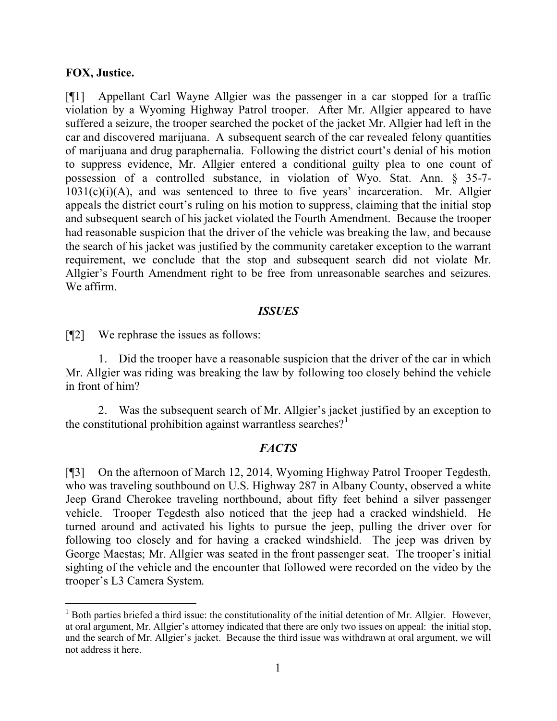## **FOX, Justice.**

[¶1] Appellant Carl Wayne Allgier was the passenger in a car stopped for a traffic violation by a Wyoming Highway Patrol trooper. After Mr. Allgier appeared to have suffered a seizure, the trooper searched the pocket of the jacket Mr. Allgier had left in the car and discovered marijuana. A subsequent search of the car revealed felony quantities of marijuana and drug paraphernalia. Following the district court's denial of his motion to suppress evidence, Mr. Allgier entered a conditional guilty plea to one count of possession of a controlled substance, in violation of Wyo. Stat. Ann. § 35-7-  $1031(c)(i)(A)$ , and was sentenced to three to five years' incarceration. Mr. Allgier appeals the district court's ruling on his motion to suppress, claiming that the initial stop and subsequent search of his jacket violated the Fourth Amendment. Because the trooper had reasonable suspicion that the driver of the vehicle was breaking the law, and because the search of his jacket was justified by the community caretaker exception to the warrant requirement, we conclude that the stop and subsequent search did not violate Mr. Allgier's Fourth Amendment right to be free from unreasonable searches and seizures. We affirm.

#### *ISSUES*

[¶2] We rephrase the issues as follows:

1. Did the trooper have a reasonable suspicion that the driver of the car in which Mr. Allgier was riding was breaking the law by following too closely behind the vehicle in front of him?

2. Was the subsequent search of Mr. Allgier's jacket justified by an exception to the constitutional prohibition against warrantless searches?<sup>1</sup>

# *FACTS*

[¶3] On the afternoon of March 12, 2014, Wyoming Highway Patrol Trooper Tegdesth, who was traveling southbound on U.S. Highway 287 in Albany County, observed a white Jeep Grand Cherokee traveling northbound, about fifty feet behind a silver passenger vehicle. Trooper Tegdesth also noticed that the jeep had a cracked windshield. He turned around and activated his lights to pursue the jeep, pulling the driver over for following too closely and for having a cracked windshield. The jeep was driven by George Maestas; Mr. Allgier was seated in the front passenger seat. The trooper's initial sighting of the vehicle and the encounter that followed were recorded on the video by the trooper's L3 Camera System.

 $<sup>1</sup>$  Both parties briefed a third issue: the constitutionality of the initial detention of Mr. Allgier. However,</sup> at oral argument, Mr. Allgier's attorney indicated that there are only two issues on appeal: the initial stop, and the search of Mr. Allgier's jacket. Because the third issue was withdrawn at oral argument, we will not address it here.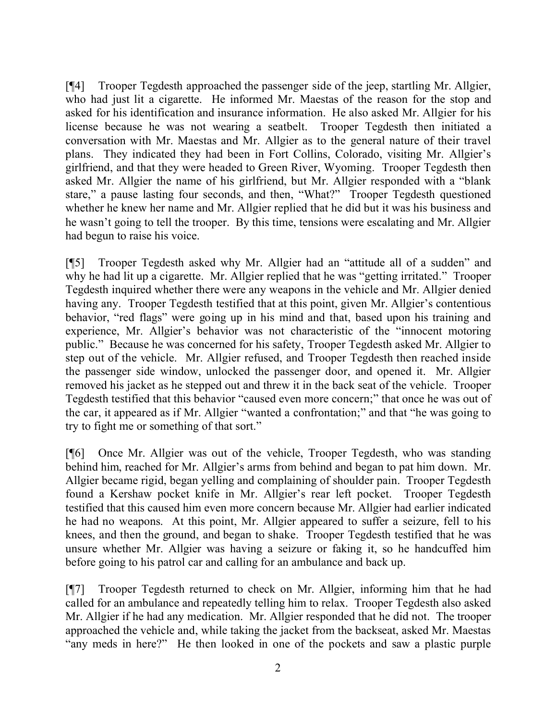[¶4] Trooper Tegdesth approached the passenger side of the jeep, startling Mr. Allgier, who had just lit a cigarette. He informed Mr. Maestas of the reason for the stop and asked for his identification and insurance information. He also asked Mr. Allgier for his license because he was not wearing a seatbelt. Trooper Tegdesth then initiated a conversation with Mr. Maestas and Mr. Allgier as to the general nature of their travel plans. They indicated they had been in Fort Collins, Colorado, visiting Mr. Allgier's girlfriend, and that they were headed to Green River, Wyoming. Trooper Tegdesth then asked Mr. Allgier the name of his girlfriend, but Mr. Allgier responded with a "blank stare," a pause lasting four seconds, and then, "What?" Trooper Tegdesth questioned whether he knew her name and Mr. Allgier replied that he did but it was his business and he wasn't going to tell the trooper. By this time, tensions were escalating and Mr. Allgier had begun to raise his voice.

[¶5] Trooper Tegdesth asked why Mr. Allgier had an "attitude all of a sudden" and why he had lit up a cigarette. Mr. Allgier replied that he was "getting irritated." Trooper Tegdesth inquired whether there were any weapons in the vehicle and Mr. Allgier denied having any. Trooper Tegdesth testified that at this point, given Mr. Allgier's contentious behavior, "red flags" were going up in his mind and that, based upon his training and experience, Mr. Allgier's behavior was not characteristic of the "innocent motoring public." Because he was concerned for his safety, Trooper Tegdesth asked Mr. Allgier to step out of the vehicle. Mr. Allgier refused, and Trooper Tegdesth then reached inside the passenger side window, unlocked the passenger door, and opened it. Mr. Allgier removed his jacket as he stepped out and threw it in the back seat of the vehicle. Trooper Tegdesth testified that this behavior "caused even more concern;" that once he was out of the car, it appeared as if Mr. Allgier "wanted a confrontation;" and that "he was going to try to fight me or something of that sort."

[¶6] Once Mr. Allgier was out of the vehicle, Trooper Tegdesth, who was standing behind him, reached for Mr. Allgier's arms from behind and began to pat him down. Mr. Allgier became rigid, began yelling and complaining of shoulder pain. Trooper Tegdesth found a Kershaw pocket knife in Mr. Allgier's rear left pocket. Trooper Tegdesth testified that this caused him even more concern because Mr. Allgier had earlier indicated he had no weapons. At this point, Mr. Allgier appeared to suffer a seizure, fell to his knees, and then the ground, and began to shake. Trooper Tegdesth testified that he was unsure whether Mr. Allgier was having a seizure or faking it, so he handcuffed him before going to his patrol car and calling for an ambulance and back up.

[¶7] Trooper Tegdesth returned to check on Mr. Allgier, informing him that he had called for an ambulance and repeatedly telling him to relax. Trooper Tegdesth also asked Mr. Allgier if he had any medication. Mr. Allgier responded that he did not. The trooper approached the vehicle and, while taking the jacket from the backseat, asked Mr. Maestas "any meds in here?" He then looked in one of the pockets and saw a plastic purple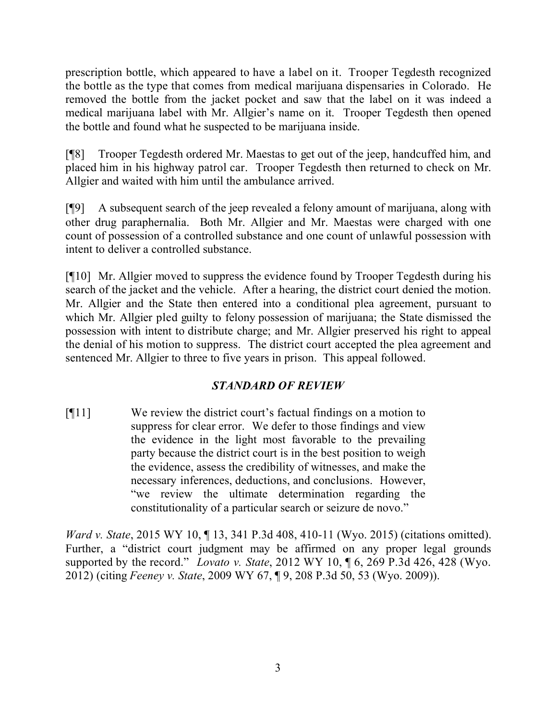prescription bottle, which appeared to have a label on it. Trooper Tegdesth recognized the bottle as the type that comes from medical marijuana dispensaries in Colorado. He removed the bottle from the jacket pocket and saw that the label on it was indeed a medical marijuana label with Mr. Allgier's name on it. Trooper Tegdesth then opened the bottle and found what he suspected to be marijuana inside.

[¶8] Trooper Tegdesth ordered Mr. Maestas to get out of the jeep, handcuffed him, and placed him in his highway patrol car. Trooper Tegdesth then returned to check on Mr. Allgier and waited with him until the ambulance arrived.

[¶9] A subsequent search of the jeep revealed a felony amount of marijuana, along with other drug paraphernalia. Both Mr. Allgier and Mr. Maestas were charged with one count of possession of a controlled substance and one count of unlawful possession with intent to deliver a controlled substance.

[¶10] Mr. Allgier moved to suppress the evidence found by Trooper Tegdesth during his search of the jacket and the vehicle. After a hearing, the district court denied the motion. Mr. Allgier and the State then entered into a conditional plea agreement, pursuant to which Mr. Allgier pled guilty to felony possession of marijuana; the State dismissed the possession with intent to distribute charge; and Mr. Allgier preserved his right to appeal the denial of his motion to suppress. The district court accepted the plea agreement and sentenced Mr. Allgier to three to five years in prison. This appeal followed.

# *STANDARD OF REVIEW*

[¶11] We review the district court's factual findings on a motion to suppress for clear error. We defer to those findings and view the evidence in the light most favorable to the prevailing party because the district court is in the best position to weigh the evidence, assess the credibility of witnesses, and make the necessary inferences, deductions, and conclusions. However, "we review the ultimate determination regarding the constitutionality of a particular search or seizure de novo."

*Ward v. State*, 2015 WY 10, ¶ 13, 341 P.3d 408, 410-11 (Wyo. 2015) (citations omitted). Further, a "district court judgment may be affirmed on any proper legal grounds supported by the record." *Lovato v. State*, 2012 WY 10, ¶ 6, 269 P.3d 426, 428 (Wyo. 2012) (citing *Feeney v. State*, 2009 WY 67, ¶ 9, 208 P.3d 50, 53 (Wyo. 2009)).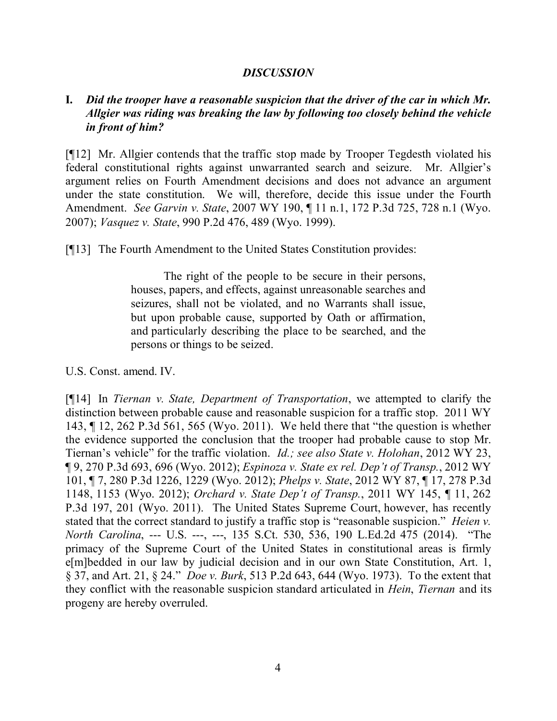### *DISCUSSION*

# **I.** *Did the trooper have a reasonable suspicion that the driver of the car in which Mr. Allgier was riding was breaking the law by following too closely behind the vehicle in front of him?*

[¶12] Mr. Allgier contends that the traffic stop made by Trooper Tegdesth violated his federal constitutional rights against unwarranted search and seizure. Mr. Allgier's argument relies on Fourth Amendment decisions and does not advance an argument under the state constitution. We will, therefore, decide this issue under the Fourth Amendment. *See Garvin v. State*, 2007 WY 190, ¶ 11 n.1, 172 P.3d 725, 728 n.1 (Wyo. 2007); *Vasquez v. State*, 990 P.2d 476, 489 (Wyo. 1999).

[¶13] The Fourth Amendment to the United States Constitution provides:

The right of the people to be secure in their persons, houses, papers, and effects, against unreasonable searches and seizures, shall not be violated, and no Warrants shall issue, but upon probable cause, supported by Oath or affirmation, and particularly describing the place to be searched, and the persons or things to be seized.

U.S. Const. amend. IV.

[¶14] In *Tiernan v. State, Department of Transportation*, we attempted to clarify the distinction between probable cause and reasonable suspicion for a traffic stop. 2011 WY 143, ¶ 12, 262 P.3d 561, 565 (Wyo. 2011). We held there that "the question is whether the evidence supported the conclusion that the trooper had probable cause to stop Mr. Tiernan's vehicle" for the traffic violation. *Id.; see also State v. Holohan*, 2012 WY 23, ¶ 9, 270 P.3d 693, 696 (Wyo. 2012); *Espinoza v. State ex rel. Dep't of Transp.*, 2012 WY 101, ¶ 7, 280 P.3d 1226, 1229 (Wyo. 2012); *Phelps v. State*, 2012 WY 87, ¶ 17, 278 P.3d 1148, 1153 (Wyo. 2012); *Orchard v. State Dep't of Transp.*, 2011 WY 145, ¶ 11, 262 P.3d 197, 201 (Wyo. 2011). The United States Supreme Court, however, has recently stated that the correct standard to justify a traffic stop is "reasonable suspicion." *Heien v. North Carolina*, --- U.S. ---, ---, 135 S.Ct. 530, 536, 190 L.Ed.2d 475 (2014). "The primacy of the Supreme Court of the United States in constitutional areas is firmly e[m]bedded in our law by judicial decision and in our own State Constitution, Art. 1, § 37, and Art. 21, § 24." *Doe v. Burk*, 513 P.2d 643, 644 (Wyo. 1973). To the extent that they conflict with the reasonable suspicion standard articulated in *Hein*, *Tiernan* and its progeny are hereby overruled.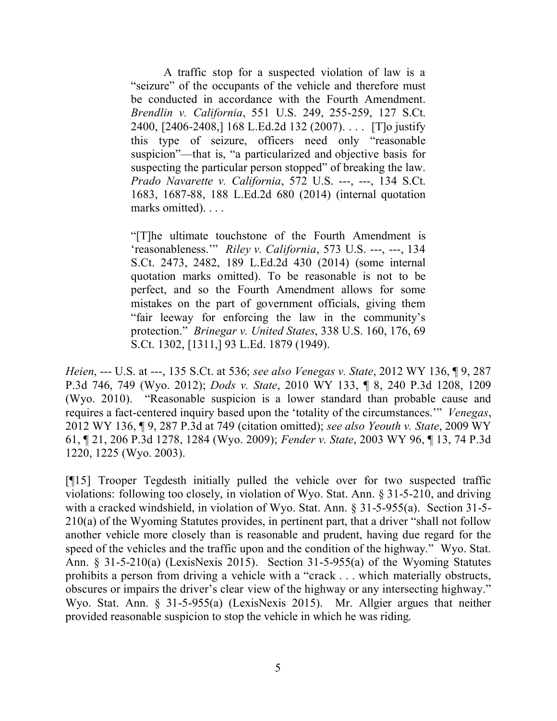A traffic stop for a suspected violation of law is a "seizure" of the occupants of the vehicle and therefore must be conducted in accordance with the Fourth Amendment. *Brendlin v. California*, 551 U.S. 249, 255-259, 127 S.Ct. 2400, [2406-2408,] 168 L.Ed.2d 132 (2007). . . . [T]o justify this type of seizure, officers need only "reasonable suspicion"—that is, "a particularized and objective basis for suspecting the particular person stopped" of breaking the law. *Prado Navarette v. California*, 572 U.S. ---, ---, 134 S.Ct. 1683, 1687-88, 188 L.Ed.2d 680 (2014) (internal quotation marks omitted). . . .

"[T]he ultimate touchstone of the Fourth Amendment is 'reasonableness.'" *Riley v. California*, 573 U.S. ---, ---, 134 S.Ct. 2473, 2482, 189 L.Ed.2d 430 (2014) (some internal quotation marks omitted). To be reasonable is not to be perfect, and so the Fourth Amendment allows for some mistakes on the part of government officials, giving them "fair leeway for enforcing the law in the community's protection." *Brinegar v. United States*, 338 U.S. 160, 176, 69 S.Ct. 1302, [1311,] 93 L.Ed. 1879 (1949).

*Heien*, --- U.S. at ---, 135 S.Ct. at 536; *see also Venegas v. State*, 2012 WY 136, ¶ 9, 287 P.3d 746, 749 (Wyo. 2012); *Dods v. State*, 2010 WY 133, ¶ 8, 240 P.3d 1208, 1209 (Wyo. 2010). "Reasonable suspicion is a lower standard than probable cause and requires a fact-centered inquiry based upon the 'totality of the circumstances.'" *Venegas*, 2012 WY 136, ¶ 9, 287 P.3d at 749 (citation omitted); *see also Yeouth v. State*, 2009 WY 61, ¶ 21, 206 P.3d 1278, 1284 (Wyo. 2009); *Fender v. State*, 2003 WY 96, ¶ 13, 74 P.3d 1220, 1225 (Wyo. 2003).

[¶15] Trooper Tegdesth initially pulled the vehicle over for two suspected traffic violations: following too closely, in violation of Wyo. Stat. Ann. § 31-5-210, and driving with a cracked windshield, in violation of Wyo. Stat. Ann. § 31-5-955(a). Section 31-5- 210(a) of the Wyoming Statutes provides, in pertinent part, that a driver "shall not follow another vehicle more closely than is reasonable and prudent, having due regard for the speed of the vehicles and the traffic upon and the condition of the highway." Wyo. Stat. Ann. § 31-5-210(a) (LexisNexis 2015). Section 31-5-955(a) of the Wyoming Statutes prohibits a person from driving a vehicle with a "crack . . . which materially obstructs, obscures or impairs the driver's clear view of the highway or any intersecting highway." Wyo. Stat. Ann. § 31-5-955(a) (LexisNexis 2015). Mr. Allgier argues that neither provided reasonable suspicion to stop the vehicle in which he was riding.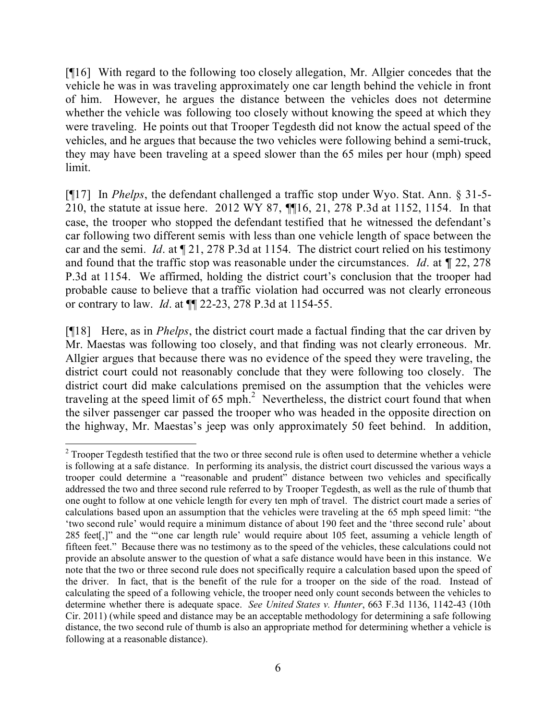[¶16] With regard to the following too closely allegation, Mr. Allgier concedes that the vehicle he was in was traveling approximately one car length behind the vehicle in front of him. However, he argues the distance between the vehicles does not determine whether the vehicle was following too closely without knowing the speed at which they were traveling. He points out that Trooper Tegdesth did not know the actual speed of the vehicles, and he argues that because the two vehicles were following behind a semi-truck, they may have been traveling at a speed slower than the 65 miles per hour (mph) speed limit.

[¶17] In *Phelps*, the defendant challenged a traffic stop under Wyo. Stat. Ann. § 31-5- 210, the statute at issue here. 2012 WY 87, ¶¶16, 21, 278 P.3d at 1152, 1154. In that case, the trooper who stopped the defendant testified that he witnessed the defendant's car following two different semis with less than one vehicle length of space between the car and the semi. *Id*. at ¶ 21, 278 P.3d at 1154. The district court relied on his testimony and found that the traffic stop was reasonable under the circumstances. *Id*. at ¶ 22, 278 P.3d at 1154. We affirmed, holding the district court's conclusion that the trooper had probable cause to believe that a traffic violation had occurred was not clearly erroneous or contrary to law. *Id*. at ¶¶ 22-23, 278 P.3d at 1154-55.

[¶18] Here, as in *Phelps*, the district court made a factual finding that the car driven by Mr. Maestas was following too closely, and that finding was not clearly erroneous. Mr. Allgier argues that because there was no evidence of the speed they were traveling, the district court could not reasonably conclude that they were following too closely. The district court did make calculations premised on the assumption that the vehicles were traveling at the speed limit of 65 mph.<sup>2</sup> Nevertheless, the district court found that when the silver passenger car passed the trooper who was headed in the opposite direction on the highway, Mr. Maestas's jeep was only approximately 50 feet behind. In addition,

  $2$  Trooper Tegdesth testified that the two or three second rule is often used to determine whether a vehicle is following at a safe distance. In performing its analysis, the district court discussed the various ways a trooper could determine a "reasonable and prudent" distance between two vehicles and specifically addressed the two and three second rule referred to by Trooper Tegdesth, as well as the rule of thumb that one ought to follow at one vehicle length for every ten mph of travel. The district court made a series of calculations based upon an assumption that the vehicles were traveling at the 65 mph speed limit: "the 'two second rule' would require a minimum distance of about 190 feet and the 'three second rule' about 285 feet[,]" and the "'one car length rule' would require about 105 feet, assuming a vehicle length of fifteen feet." Because there was no testimony as to the speed of the vehicles, these calculations could not provide an absolute answer to the question of what a safe distance would have been in this instance. We note that the two or three second rule does not specifically require a calculation based upon the speed of the driver. In fact, that is the benefit of the rule for a trooper on the side of the road. Instead of calculating the speed of a following vehicle, the trooper need only count seconds between the vehicles to determine whether there is adequate space. *See United States v. Hunter*, 663 F.3d 1136, 1142-43 (10th Cir. 2011) (while speed and distance may be an acceptable methodology for determining a safe following distance, the two second rule of thumb is also an appropriate method for determining whether a vehicle is following at a reasonable distance).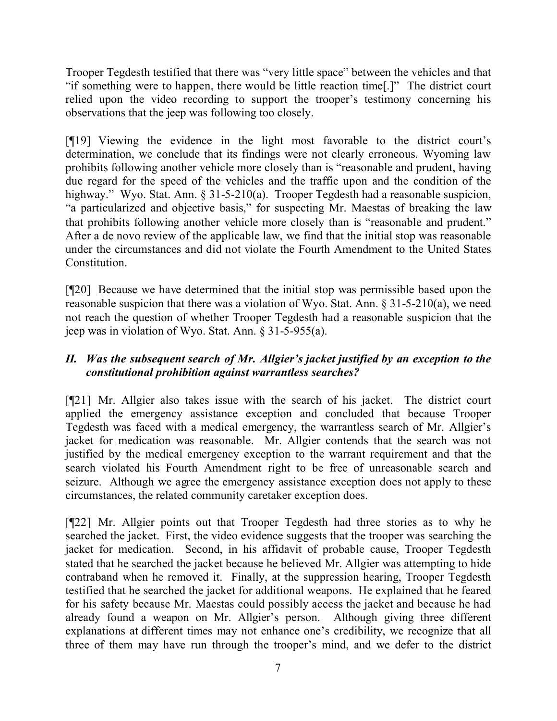Trooper Tegdesth testified that there was "very little space" between the vehicles and that "if something were to happen, there would be little reaction time[.]" The district court relied upon the video recording to support the trooper's testimony concerning his observations that the jeep was following too closely.

[¶19] Viewing the evidence in the light most favorable to the district court's determination, we conclude that its findings were not clearly erroneous. Wyoming law prohibits following another vehicle more closely than is "reasonable and prudent, having due regard for the speed of the vehicles and the traffic upon and the condition of the highway." Wyo. Stat. Ann. § 31-5-210(a). Trooper Tegdesth had a reasonable suspicion, "a particularized and objective basis," for suspecting Mr. Maestas of breaking the law that prohibits following another vehicle more closely than is "reasonable and prudent." After a de novo review of the applicable law, we find that the initial stop was reasonable under the circumstances and did not violate the Fourth Amendment to the United States **Constitution** 

[¶20] Because we have determined that the initial stop was permissible based upon the reasonable suspicion that there was a violation of Wyo. Stat. Ann. § 31-5-210(a), we need not reach the question of whether Trooper Tegdesth had a reasonable suspicion that the jeep was in violation of Wyo. Stat. Ann. § 31-5-955(a).

# *II. Was the subsequent search of Mr. Allgier's jacket justified by an exception to the constitutional prohibition against warrantless searches?*

[¶21] Mr. Allgier also takes issue with the search of his jacket. The district court applied the emergency assistance exception and concluded that because Trooper Tegdesth was faced with a medical emergency, the warrantless search of Mr. Allgier's jacket for medication was reasonable. Mr. Allgier contends that the search was not justified by the medical emergency exception to the warrant requirement and that the search violated his Fourth Amendment right to be free of unreasonable search and seizure. Although we agree the emergency assistance exception does not apply to these circumstances, the related community caretaker exception does.

[¶22] Mr. Allgier points out that Trooper Tegdesth had three stories as to why he searched the jacket. First, the video evidence suggests that the trooper was searching the jacket for medication. Second, in his affidavit of probable cause, Trooper Tegdesth stated that he searched the jacket because he believed Mr. Allgier was attempting to hide contraband when he removed it. Finally, at the suppression hearing, Trooper Tegdesth testified that he searched the jacket for additional weapons. He explained that he feared for his safety because Mr. Maestas could possibly access the jacket and because he had already found a weapon on Mr. Allgier's person. Although giving three different explanations at different times may not enhance one's credibility, we recognize that all three of them may have run through the trooper's mind, and we defer to the district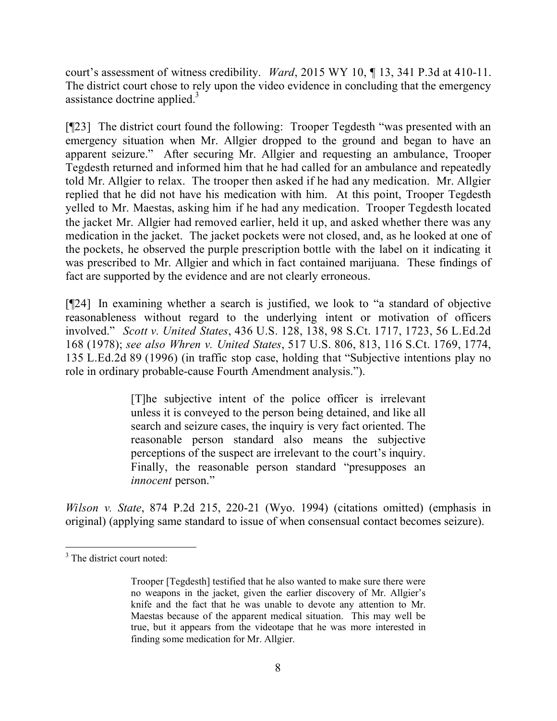court's assessment of witness credibility. *Ward*, 2015 WY 10, ¶ 13, 341 P.3d at 410-11. The district court chose to rely upon the video evidence in concluding that the emergency assistance doctrine applied. $\frac{3}{2}$ 

[¶23] The district court found the following: Trooper Tegdesth "was presented with an emergency situation when Mr. Allgier dropped to the ground and began to have an apparent seizure." After securing Mr. Allgier and requesting an ambulance, Trooper Tegdesth returned and informed him that he had called for an ambulance and repeatedly told Mr. Allgier to relax. The trooper then asked if he had any medication. Mr. Allgier replied that he did not have his medication with him. At this point, Trooper Tegdesth yelled to Mr. Maestas, asking him if he had any medication. Trooper Tegdesth located the jacket Mr. Allgier had removed earlier, held it up, and asked whether there was any medication in the jacket. The jacket pockets were not closed, and, as he looked at one of the pockets, he observed the purple prescription bottle with the label on it indicating it was prescribed to Mr. Allgier and which in fact contained marijuana. These findings of fact are supported by the evidence and are not clearly erroneous.

[¶24] In examining whether a search is justified, we look to "a standard of objective reasonableness without regard to the underlying intent or motivation of officers involved." *Scott v. United States*, 436 U.S. 128, 138, 98 S.Ct. 1717, 1723, 56 L.Ed.2d 168 (1978); *see also Whren v. United States*, 517 U.S. 806, 813, 116 S.Ct. 1769, 1774, 135 L.Ed.2d 89 (1996) (in traffic stop case, holding that "Subjective intentions play no role in ordinary probable-cause Fourth Amendment analysis.").

> [T]he subjective intent of the police officer is irrelevant unless it is conveyed to the person being detained, and like all search and seizure cases, the inquiry is very fact oriented. The reasonable person standard also means the subjective perceptions of the suspect are irrelevant to the court's inquiry. Finally, the reasonable person standard "presupposes an *innocent* person."

*Wilson v. State*, 874 P.2d 215, 220-21 (Wyo. 1994) (citations omitted) (emphasis in original) (applying same standard to issue of when consensual contact becomes seizure).

  $3$  The district court noted:

Trooper [Tegdesth] testified that he also wanted to make sure there were no weapons in the jacket, given the earlier discovery of Mr. Allgier's knife and the fact that he was unable to devote any attention to Mr. Maestas because of the apparent medical situation. This may well be true, but it appears from the videotape that he was more interested in finding some medication for Mr. Allgier.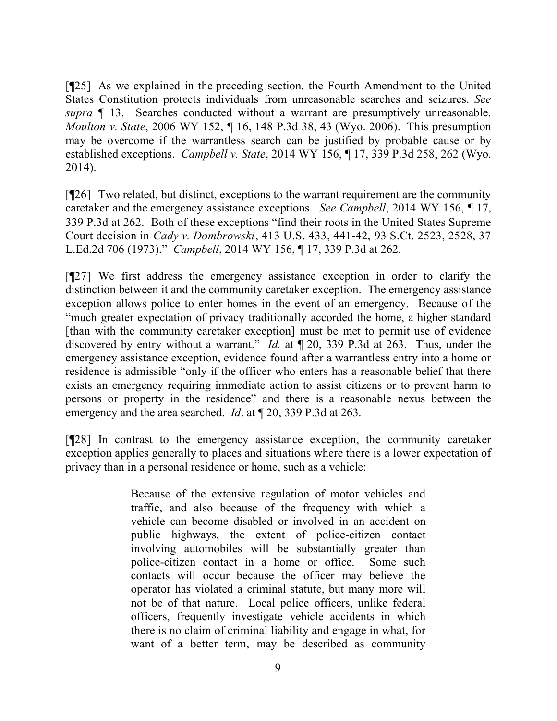[¶25] As we explained in the preceding section, the Fourth Amendment to the United States Constitution protects individuals from unreasonable searches and seizures. *See supra* ¶ 13. Searches conducted without a warrant are presumptively unreasonable. *Moulton v. State*, 2006 WY 152, ¶ 16, 148 P.3d 38, 43 (Wyo. 2006). This presumption may be overcome if the warrantless search can be justified by probable cause or by established exceptions. *Campbell v. State*, 2014 WY 156, ¶ 17, 339 P.3d 258, 262 (Wyo. 2014).

[¶26] Two related, but distinct, exceptions to the warrant requirement are the community caretaker and the emergency assistance exceptions. *See Campbell*, 2014 WY 156, ¶ 17, 339 P.3d at 262. Both of these exceptions "find their roots in the United States Supreme Court decision in *Cady v. Dombrowski*, 413 U.S. 433, 441-42, 93 S.Ct. 2523, 2528, 37 L.Ed.2d 706 (1973)." *Campbell*, 2014 WY 156, ¶ 17, 339 P.3d at 262.

[¶27] We first address the emergency assistance exception in order to clarify the distinction between it and the community caretaker exception. The emergency assistance exception allows police to enter homes in the event of an emergency. Because of the "much greater expectation of privacy traditionally accorded the home, a higher standard [than with the community caretaker exception] must be met to permit use of evidence discovered by entry without a warrant." *Id.* at ¶ 20, 339 P.3d at 263. Thus, under the emergency assistance exception, evidence found after a warrantless entry into a home or residence is admissible "only if the officer who enters has a reasonable belief that there exists an emergency requiring immediate action to assist citizens or to prevent harm to persons or property in the residence" and there is a reasonable nexus between the emergency and the area searched. *Id*. at ¶ 20, 339 P.3d at 263.

[¶28] In contrast to the emergency assistance exception, the community caretaker exception applies generally to places and situations where there is a lower expectation of privacy than in a personal residence or home, such as a vehicle:

> Because of the extensive regulation of motor vehicles and traffic, and also because of the frequency with which a vehicle can become disabled or involved in an accident on public highways, the extent of police-citizen contact involving automobiles will be substantially greater than police-citizen contact in a home or office. Some such contacts will occur because the officer may believe the operator has violated a criminal statute, but many more will not be of that nature. Local police officers, unlike federal officers, frequently investigate vehicle accidents in which there is no claim of criminal liability and engage in what, for want of a better term, may be described as community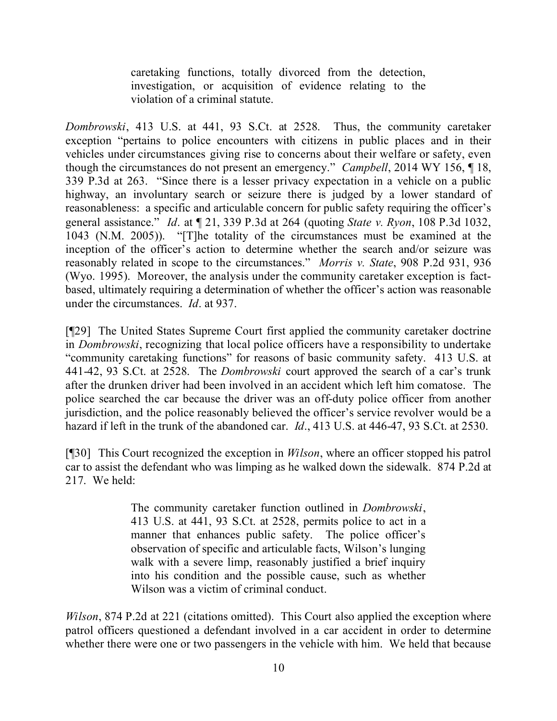caretaking functions, totally divorced from the detection, investigation, or acquisition of evidence relating to the violation of a criminal statute.

*Dombrowski*, 413 U.S. at 441, 93 S.Ct. at 2528. Thus, the community caretaker exception "pertains to police encounters with citizens in public places and in their vehicles under circumstances giving rise to concerns about their welfare or safety, even though the circumstances do not present an emergency." *Campbell*, 2014 WY 156, ¶ 18, 339 P.3d at 263. "Since there is a lesser privacy expectation in a vehicle on a public highway, an involuntary search or seizure there is judged by a lower standard of reasonableness: a specific and articulable concern for public safety requiring the officer's general assistance." *Id*. at ¶ 21, 339 P.3d at 264 (quoting *State v. Ryon*, 108 P.3d 1032, 1043 (N.M. 2005)). "[T]he totality of the circumstances must be examined at the inception of the officer's action to determine whether the search and/or seizure was reasonably related in scope to the circumstances." *Morris v. State*, 908 P.2d 931, 936 (Wyo. 1995). Moreover, the analysis under the community caretaker exception is factbased, ultimately requiring a determination of whether the officer's action was reasonable under the circumstances. *Id*. at 937.

[¶29] The United States Supreme Court first applied the community caretaker doctrine in *Dombrowski*, recognizing that local police officers have a responsibility to undertake "community caretaking functions" for reasons of basic community safety. 413 U.S. at 441-42, 93 S.Ct. at 2528. The *Dombrowski* court approved the search of a car's trunk after the drunken driver had been involved in an accident which left him comatose. The police searched the car because the driver was an off-duty police officer from another jurisdiction, and the police reasonably believed the officer's service revolver would be a hazard if left in the trunk of the abandoned car. *Id*., 413 U.S. at 446-47, 93 S.Ct. at 2530.

[¶30] This Court recognized the exception in *Wilson*, where an officer stopped his patrol car to assist the defendant who was limping as he walked down the sidewalk. 874 P.2d at 217. We held:

> The community caretaker function outlined in *Dombrowski*, 413 U.S. at 441, 93 S.Ct. at 2528, permits police to act in a manner that enhances public safety. The police officer's observation of specific and articulable facts, Wilson's lunging walk with a severe limp, reasonably justified a brief inquiry into his condition and the possible cause, such as whether Wilson was a victim of criminal conduct.

*Wilson*, 874 P.2d at 221 (citations omitted). This Court also applied the exception where patrol officers questioned a defendant involved in a car accident in order to determine whether there were one or two passengers in the vehicle with him. We held that because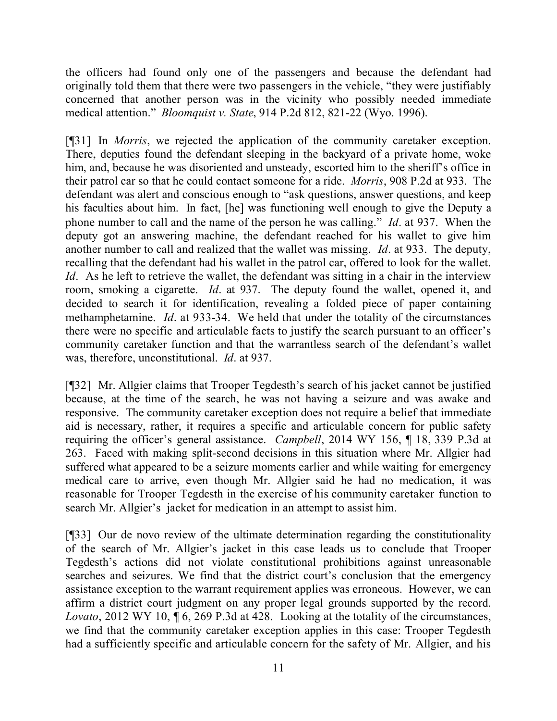the officers had found only one of the passengers and because the defendant had originally told them that there were two passengers in the vehicle, "they were justifiably concerned that another person was in the vicinity who possibly needed immediate medical attention." *Bloomquist v. State*, 914 P.2d 812, 821-22 (Wyo. 1996).

[¶31] In *Morris*, we rejected the application of the community caretaker exception. There, deputies found the defendant sleeping in the backyard of a private home, woke him, and, because he was disoriented and unsteady, escorted him to the sheriff's office in their patrol car so that he could contact someone for a ride. *Morris*, 908 P.2d at 933. The defendant was alert and conscious enough to "ask questions, answer questions, and keep his faculties about him. In fact, [he] was functioning well enough to give the Deputy a phone number to call and the name of the person he was calling." *Id*. at 937. When the deputy got an answering machine, the defendant reached for his wallet to give him another number to call and realized that the wallet was missing. *Id*. at 933. The deputy, recalling that the defendant had his wallet in the patrol car, offered to look for the wallet. *Id.* As he left to retrieve the wallet, the defendant was sitting in a chair in the interview room, smoking a cigarette. *Id*. at 937. The deputy found the wallet, opened it, and decided to search it for identification, revealing a folded piece of paper containing methamphetamine. *Id*. at 933-34. We held that under the totality of the circumstances there were no specific and articulable facts to justify the search pursuant to an officer's community caretaker function and that the warrantless search of the defendant's wallet was, therefore, unconstitutional. *Id*. at 937.

[¶32] Mr. Allgier claims that Trooper Tegdesth's search of his jacket cannot be justified because, at the time of the search, he was not having a seizure and was awake and responsive. The community caretaker exception does not require a belief that immediate aid is necessary, rather, it requires a specific and articulable concern for public safety requiring the officer's general assistance. *Campbell*, 2014 WY 156, ¶ 18, 339 P.3d at 263. Faced with making split-second decisions in this situation where Mr. Allgier had suffered what appeared to be a seizure moments earlier and while waiting for emergency medical care to arrive, even though Mr. Allgier said he had no medication, it was reasonable for Trooper Tegdesth in the exercise of his community caretaker function to search Mr. Allgier's jacket for medication in an attempt to assist him.

[¶33] Our de novo review of the ultimate determination regarding the constitutionality of the search of Mr. Allgier's jacket in this case leads us to conclude that Trooper Tegdesth's actions did not violate constitutional prohibitions against unreasonable searches and seizures. We find that the district court's conclusion that the emergency assistance exception to the warrant requirement applies was erroneous. However, we can affirm a district court judgment on any proper legal grounds supported by the record. *Lovato*, 2012 WY 10, ¶ 6, 269 P.3d at 428. Looking at the totality of the circumstances, we find that the community caretaker exception applies in this case: Trooper Tegdesth had a sufficiently specific and articulable concern for the safety of Mr. Allgier, and his